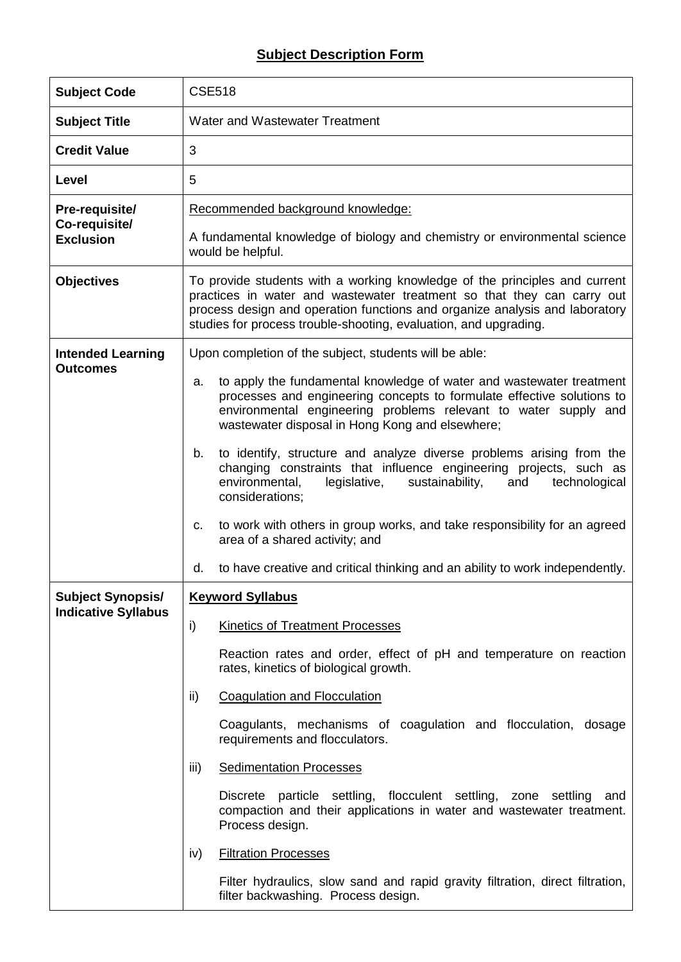## **Subject Description Form**

| <b>Subject Code</b>               | <b>CSE518</b>                                                                                                                                                                                                                                                                                           |  |  |  |  |
|-----------------------------------|---------------------------------------------------------------------------------------------------------------------------------------------------------------------------------------------------------------------------------------------------------------------------------------------------------|--|--|--|--|
| <b>Subject Title</b>              | Water and Wastewater Treatment                                                                                                                                                                                                                                                                          |  |  |  |  |
| <b>Credit Value</b>               | 3                                                                                                                                                                                                                                                                                                       |  |  |  |  |
| Level                             | 5                                                                                                                                                                                                                                                                                                       |  |  |  |  |
| Pre-requisite/                    | Recommended background knowledge:                                                                                                                                                                                                                                                                       |  |  |  |  |
| Co-requisite/<br><b>Exclusion</b> | A fundamental knowledge of biology and chemistry or environmental science<br>would be helpful.                                                                                                                                                                                                          |  |  |  |  |
| <b>Objectives</b>                 | To provide students with a working knowledge of the principles and current<br>practices in water and wastewater treatment so that they can carry out<br>process design and operation functions and organize analysis and laboratory<br>studies for process trouble-shooting, evaluation, and upgrading. |  |  |  |  |
| <b>Intended Learning</b>          | Upon completion of the subject, students will be able:                                                                                                                                                                                                                                                  |  |  |  |  |
| <b>Outcomes</b>                   | to apply the fundamental knowledge of water and wastewater treatment<br>a.<br>processes and engineering concepts to formulate effective solutions to<br>environmental engineering problems relevant to water supply and<br>wastewater disposal in Hong Kong and elsewhere;                              |  |  |  |  |
|                                   | to identify, structure and analyze diverse problems arising from the<br>b.<br>changing constraints that influence engineering projects, such as<br>environmental,<br>legislative,<br>sustainability,<br>technological<br>and<br>considerations;                                                         |  |  |  |  |
|                                   | to work with others in group works, and take responsibility for an agreed<br>C.<br>area of a shared activity; and                                                                                                                                                                                       |  |  |  |  |
|                                   | to have creative and critical thinking and an ability to work independently.<br>d.                                                                                                                                                                                                                      |  |  |  |  |
| <b>Subject Synopsis/</b>          | <b>Keyword Syllabus</b>                                                                                                                                                                                                                                                                                 |  |  |  |  |
| <b>Indicative Syllabus</b>        | $\mathsf{i}$<br><b>Kinetics of Treatment Processes</b>                                                                                                                                                                                                                                                  |  |  |  |  |
|                                   | Reaction rates and order, effect of pH and temperature on reaction<br>rates, kinetics of biological growth.                                                                                                                                                                                             |  |  |  |  |
|                                   | <b>Coagulation and Flocculation</b><br>ii)                                                                                                                                                                                                                                                              |  |  |  |  |
|                                   | Coagulants, mechanisms of coagulation and flocculation, dosage<br>requirements and flocculators.                                                                                                                                                                                                        |  |  |  |  |
|                                   | iii)<br><b>Sedimentation Processes</b>                                                                                                                                                                                                                                                                  |  |  |  |  |
|                                   | Discrete particle settling, flocculent settling, zone settling<br>and<br>compaction and their applications in water and wastewater treatment.<br>Process design.                                                                                                                                        |  |  |  |  |
|                                   | <b>Filtration Processes</b><br>iv)                                                                                                                                                                                                                                                                      |  |  |  |  |
|                                   | Filter hydraulics, slow sand and rapid gravity filtration, direct filtration,<br>filter backwashing. Process design.                                                                                                                                                                                    |  |  |  |  |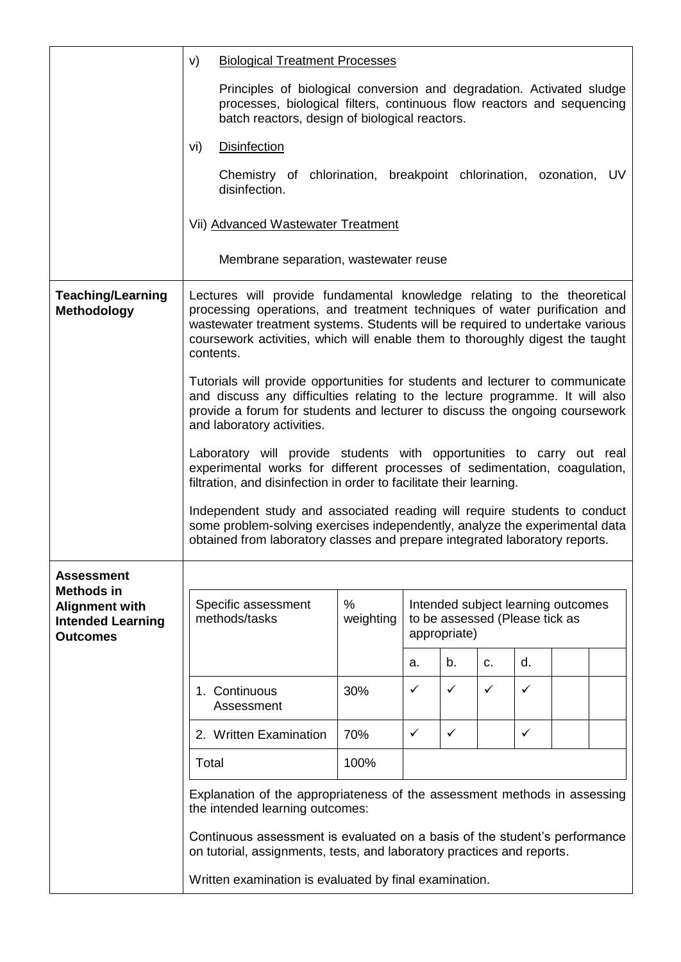|                                                                                           | V)<br><b>Biological Treatment Processes</b>                                                                                                                                                                                                                                                                                        |                |                                                                                      |    |    |    |  |    |
|-------------------------------------------------------------------------------------------|------------------------------------------------------------------------------------------------------------------------------------------------------------------------------------------------------------------------------------------------------------------------------------------------------------------------------------|----------------|--------------------------------------------------------------------------------------|----|----|----|--|----|
|                                                                                           | Principles of biological conversion and degradation. Activated sludge<br>processes, biological filters, continuous flow reactors and sequencing<br>batch reactors, design of biological reactors.                                                                                                                                  |                |                                                                                      |    |    |    |  |    |
|                                                                                           | <b>Disinfection</b><br>vi)                                                                                                                                                                                                                                                                                                         |                |                                                                                      |    |    |    |  |    |
|                                                                                           | Chemistry of chlorination, breakpoint chlorination, ozonation,<br>disinfection.                                                                                                                                                                                                                                                    |                |                                                                                      |    |    |    |  | UV |
|                                                                                           | Vii) Advanced Wastewater Treatment                                                                                                                                                                                                                                                                                                 |                |                                                                                      |    |    |    |  |    |
|                                                                                           | Membrane separation, wastewater reuse                                                                                                                                                                                                                                                                                              |                |                                                                                      |    |    |    |  |    |
| <b>Teaching/Learning</b><br>Methodology                                                   | Lectures will provide fundamental knowledge relating to the theoretical<br>processing operations, and treatment techniques of water purification and<br>wastewater treatment systems. Students will be required to undertake various<br>coursework activities, which will enable them to thoroughly digest the taught<br>contents. |                |                                                                                      |    |    |    |  |    |
|                                                                                           | Tutorials will provide opportunities for students and lecturer to communicate<br>and discuss any difficulties relating to the lecture programme. It will also<br>provide a forum for students and lecturer to discuss the ongoing coursework<br>and laboratory activities.                                                         |                |                                                                                      |    |    |    |  |    |
|                                                                                           | Laboratory will provide students with opportunities to carry out real<br>experimental works for different processes of sedimentation, coagulation,<br>filtration, and disinfection in order to facilitate their learning.                                                                                                          |                |                                                                                      |    |    |    |  |    |
|                                                                                           | Independent study and associated reading will require students to conduct<br>some problem-solving exercises independently, analyze the experimental data<br>obtained from laboratory classes and prepare integrated laboratory reports.                                                                                            |                |                                                                                      |    |    |    |  |    |
| <b>Assessment</b>                                                                         |                                                                                                                                                                                                                                                                                                                                    |                |                                                                                      |    |    |    |  |    |
| <b>Methods in</b><br><b>Alignment with</b><br><b>Intended Learning</b><br><b>Outcomes</b> | Specific assessment<br>methods/tasks                                                                                                                                                                                                                                                                                               | %<br>weighting | Intended subject learning outcomes<br>to be assessed (Please tick as<br>appropriate) |    |    |    |  |    |
|                                                                                           |                                                                                                                                                                                                                                                                                                                                    |                | a.                                                                                   | b. | C. | d. |  |    |
|                                                                                           | 1. Continuous<br>Assessment                                                                                                                                                                                                                                                                                                        | 30%            | $\checkmark$                                                                         | ✓  | ✓  | ✓  |  |    |
|                                                                                           | 2. Written Examination                                                                                                                                                                                                                                                                                                             | 70%            | $\checkmark$                                                                         | ✓  |    | ✓  |  |    |
|                                                                                           | Total                                                                                                                                                                                                                                                                                                                              | 100%           |                                                                                      |    |    |    |  |    |
|                                                                                           | Explanation of the appropriateness of the assessment methods in assessing<br>the intended learning outcomes:                                                                                                                                                                                                                       |                |                                                                                      |    |    |    |  |    |
|                                                                                           | Continuous assessment is evaluated on a basis of the student's performance<br>on tutorial, assignments, tests, and laboratory practices and reports.                                                                                                                                                                               |                |                                                                                      |    |    |    |  |    |
|                                                                                           | Written examination is evaluated by final examination.                                                                                                                                                                                                                                                                             |                |                                                                                      |    |    |    |  |    |